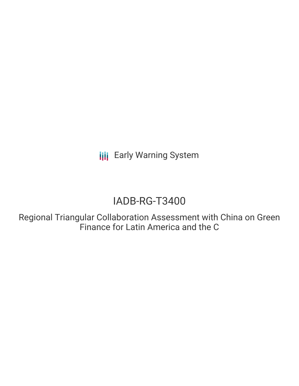**III** Early Warning System

# IADB-RG-T3400

Regional Triangular Collaboration Assessment with China on Green Finance for Latin America and the C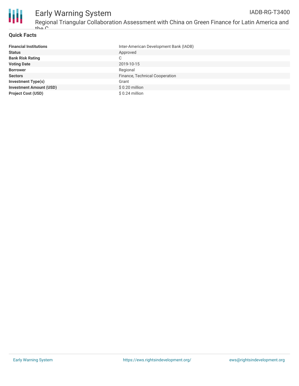

## **Quick Facts**

| <b>Financial Institutions</b>  | Inter-American Development Bank (IADB) |
|--------------------------------|----------------------------------------|
| <b>Status</b>                  | Approved                               |
| <b>Bank Risk Rating</b>        | C                                      |
| <b>Voting Date</b>             | 2019-10-15                             |
| <b>Borrower</b>                | Regional                               |
| <b>Sectors</b>                 | Finance, Technical Cooperation         |
| <b>Investment Type(s)</b>      | Grant                                  |
| <b>Investment Amount (USD)</b> | $$0.20$ million                        |
| <b>Project Cost (USD)</b>      | $$0.24$ million                        |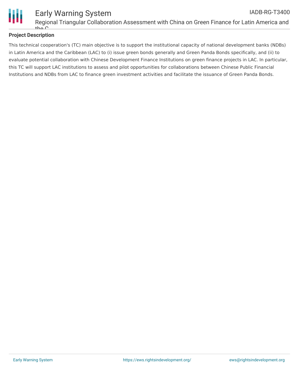

# **Project Description**

This technical cooperation's (TC) main objective is to support the institutional capacity of national development banks (NDBs) in Latin America and the Caribbean (LAC) to (i) issue green bonds generally and Green Panda Bonds specifically, and (ii) to evaluate potential collaboration with Chinese Development Finance Institutions on green finance projects in LAC. In particular, this TC will support LAC institutions to assess and pilot opportunities for collaborations between Chinese Public Financial Institutions and NDBs from LAC to finance green investment activities and facilitate the issuance of Green Panda Bonds.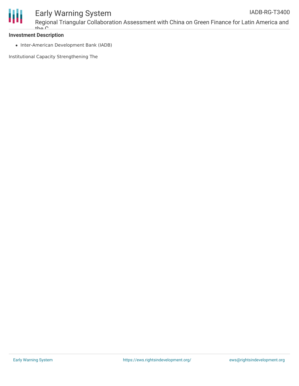

### **Investment Description**

• Inter-American Development Bank (IADB)

Institutional Capacity Strengthening The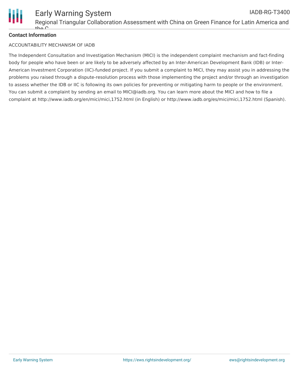

# **Contact Information**

## ACCOUNTABILITY MECHANISM OF IADB

The Independent Consultation and Investigation Mechanism (MICI) is the independent complaint mechanism and fact-finding body for people who have been or are likely to be adversely affected by an Inter-American Development Bank (IDB) or Inter-American Investment Corporation (IIC)-funded project. If you submit a complaint to MICI, they may assist you in addressing the problems you raised through a dispute-resolution process with those implementing the project and/or through an investigation to assess whether the IDB or IIC is following its own policies for preventing or mitigating harm to people or the environment. You can submit a complaint by sending an email to MICI@iadb.org. You can learn more about the MICI and how to file a complaint at http://www.iadb.org/en/mici/mici,1752.html (in English) or http://www.iadb.org/es/mici/mici,1752.html (Spanish).